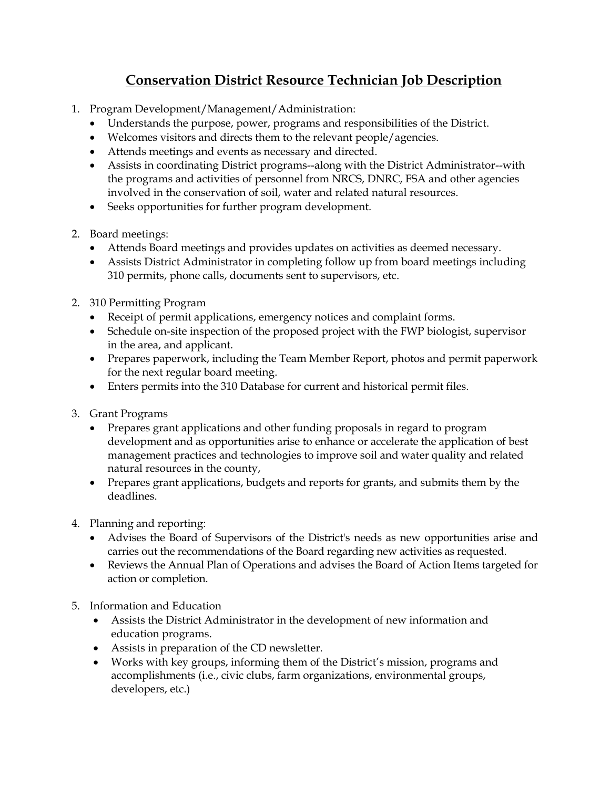## **Conservation District Resource Technician Job Description**

- 1. Program Development/Management/Administration:
	- Understands the purpose, power, programs and responsibilities of the District.
	- Welcomes visitors and directs them to the relevant people/agencies.
	- Attends meetings and events as necessary and directed.
	- Assists in coordinating District programs--along with the District Administrator--with the programs and activities of personnel from NRCS, DNRC, FSA and other agencies involved in the conservation of soil, water and related natural resources.
	- Seeks opportunities for further program development.
- 2. Board meetings:
	- Attends Board meetings and provides updates on activities as deemed necessary.
	- Assists District Administrator in completing follow up from board meetings including 310 permits, phone calls, documents sent to supervisors, etc.
- 2. 310 Permitting Program
	- Receipt of permit applications, emergency notices and complaint forms.
	- Schedule on-site inspection of the proposed project with the FWP biologist, supervisor in the area, and applicant.
	- Prepares paperwork, including the Team Member Report, photos and permit paperwork for the next regular board meeting.
	- Enters permits into the 310 Database for current and historical permit files.
- 3. Grant Programs
	- Prepares grant applications and other funding proposals in regard to program development and as opportunities arise to enhance or accelerate the application of best management practices and technologies to improve soil and water quality and related natural resources in the county,
	- Prepares grant applications, budgets and reports for grants, and submits them by the deadlines.
- 4. Planning and reporting:
	- Advises the Board of Supervisors of the District's needs as new opportunities arise and carries out the recommendations of the Board regarding new activities as requested.
	- Reviews the Annual Plan of Operations and advises the Board of Action Items targeted for action or completion.
- 5. Information and Education
	- Assists the District Administrator in the development of new information and education programs.
	- Assists in preparation of the CD newsletter.
	- Works with key groups, informing them of the District's mission, programs and accomplishments (i.e., civic clubs, farm organizations, environmental groups, developers, etc.)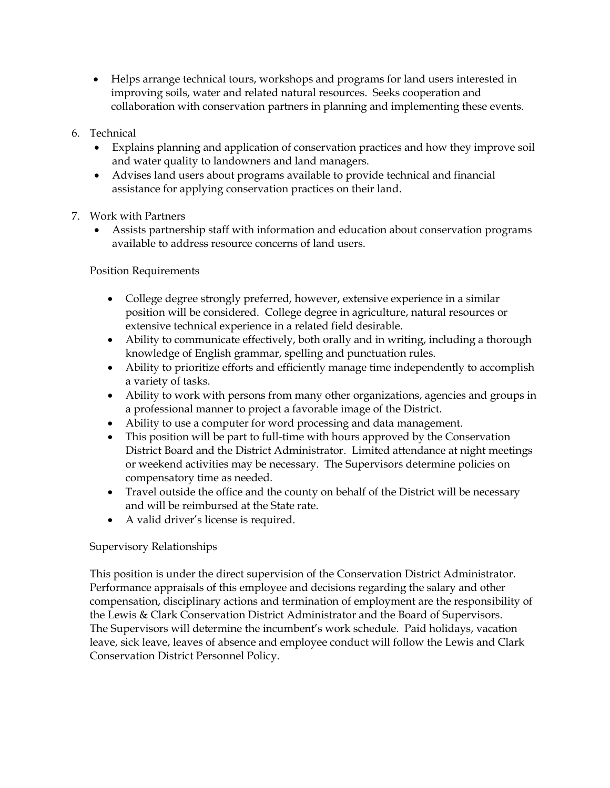- Helps arrange technical tours, workshops and programs for land users interested in improving soils, water and related natural resources. Seeks cooperation and collaboration with conservation partners in planning and implementing these events.
- 6. Technical
	- Explains planning and application of conservation practices and how they improve soil and water quality to landowners and land managers.
	- Advises land users about programs available to provide technical and financial assistance for applying conservation practices on their land.
- 7. Work with Partners
	- Assists partnership staff with information and education about conservation programs available to address resource concerns of land users.

Position Requirements

- College degree strongly preferred, however, extensive experience in a similar position will be considered. College degree in agriculture, natural resources or extensive technical experience in a related field desirable.
- Ability to communicate effectively, both orally and in writing, including a thorough knowledge of English grammar, spelling and punctuation rules.
- Ability to prioritize efforts and efficiently manage time independently to accomplish a variety of tasks.
- Ability to work with persons from many other organizations, agencies and groups in a professional manner to project a favorable image of the District.
- Ability to use a computer for word processing and data management.
- This position will be part to full-time with hours approved by the Conservation District Board and the District Administrator. Limited attendance at night meetings or weekend activities may be necessary. The Supervisors determine policies on compensatory time as needed.
- Travel outside the office and the county on behalf of the District will be necessary and will be reimbursed at the State rate.
- A valid driver's license is required.

## Supervisory Relationships

This position is under the direct supervision of the Conservation District Administrator. Performance appraisals of this employee and decisions regarding the salary and other compensation, disciplinary actions and termination of employment are the responsibility of the Lewis & Clark Conservation District Administrator and the Board of Supervisors. The Supervisors will determine the incumbent's work schedule. Paid holidays, vacation leave, sick leave, leaves of absence and employee conduct will follow the Lewis and Clark Conservation District Personnel Policy.